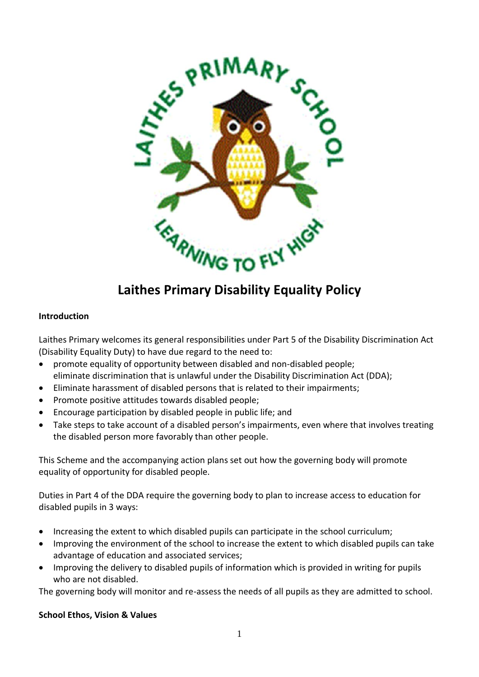

# **Laithes Primary Disability Equality Policy**

#### **Introduction**

Laithes Primary welcomes its general responsibilities under Part 5 of the Disability Discrimination Act (Disability Equality Duty) to have due regard to the need to:

- promote equality of opportunity between disabled and non-disabled people; eliminate discrimination that is unlawful under the Disability Discrimination Act (DDA);
- Eliminate harassment of disabled persons that is related to their impairments;
- Promote positive attitudes towards disabled people;
- Encourage participation by disabled people in public life; and
- Take steps to take account of a disabled person's impairments, even where that involves treating the disabled person more favorably than other people.

This Scheme and the accompanying action plans set out how the governing body will promote equality of opportunity for disabled people.

Duties in Part 4 of the DDA require the governing body to plan to increase access to education for disabled pupils in 3 ways:

- Increasing the extent to which disabled pupils can participate in the school curriculum;
- Improving the environment of the school to increase the extent to which disabled pupils can take advantage of education and associated services;
- Improving the delivery to disabled pupils of information which is provided in writing for pupils who are not disabled.

The governing body will monitor and re-assess the needs of all pupils as they are admitted to school.

#### **School Ethos, Vision & Values**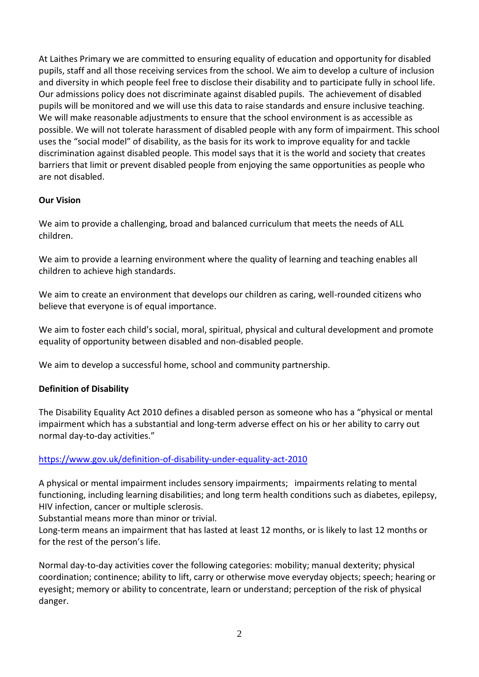At Laithes Primary we are committed to ensuring equality of education and opportunity for disabled pupils, staff and all those receiving services from the school. We aim to develop a culture of inclusion and diversity in which people feel free to disclose their disability and to participate fully in school life. Our admissions policy does not discriminate against disabled pupils. The achievement of disabled pupils will be monitored and we will use this data to raise standards and ensure inclusive teaching. We will make reasonable adjustments to ensure that the school environment is as accessible as possible. We will not tolerate harassment of disabled people with any form of impairment. This school uses the "social model" of disability, as the basis for its work to improve equality for and tackle discrimination against disabled people. This model says that it is the world and society that creates barriers that limit or prevent disabled people from enjoying the same opportunities as people who are not disabled.

## **Our Vision**

We aim to provide a challenging, broad and balanced curriculum that meets the needs of ALL children.

We aim to provide a learning environment where the quality of learning and teaching enables all children to achieve high standards.

We aim to create an environment that develops our children as caring, well-rounded citizens who believe that everyone is of equal importance.

We aim to foster each child's social, moral, spiritual, physical and cultural development and promote equality of opportunity between disabled and non-disabled people.

We aim to develop a successful home, school and community partnership.

## **Definition of Disability**

The Disability Equality Act 2010 defines a disabled person as someone who has a "physical or mental impairment which has a substantial and long-term adverse effect on his or her ability to carry out normal day-to-day activities."

#### <https://www.gov.uk/definition-of-disability-under-equality-act-2010>

A physical or mental impairment includes sensory impairments; impairments relating to mental functioning, including learning disabilities; and long term health conditions such as diabetes, epilepsy, HIV infection, cancer or multiple sclerosis.

Substantial means more than minor or trivial.

Long-term means an impairment that has lasted at least 12 months, or is likely to last 12 months or for the rest of the person's life.

Normal day-to-day activities cover the following categories: mobility; manual dexterity; physical coordination; continence; ability to lift, carry or otherwise move everyday objects; speech; hearing or eyesight; memory or ability to concentrate, learn or understand; perception of the risk of physical danger.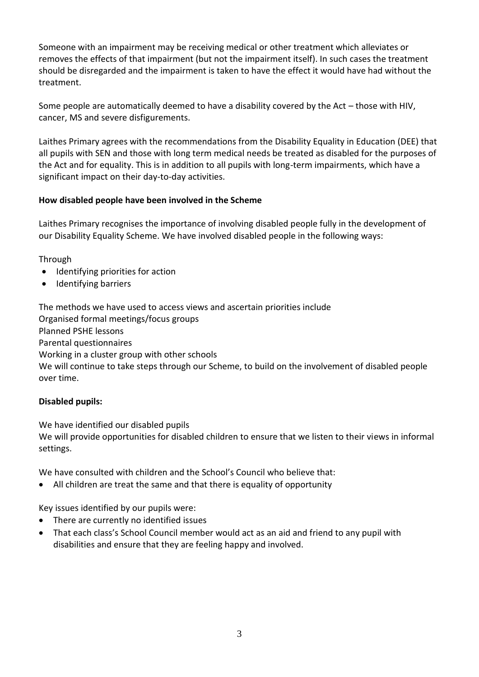Someone with an impairment may be receiving medical or other treatment which alleviates or removes the effects of that impairment (but not the impairment itself). In such cases the treatment should be disregarded and the impairment is taken to have the effect it would have had without the treatment.

Some people are automatically deemed to have a disability covered by the Act – those with HIV, cancer, MS and severe disfigurements.

Laithes Primary agrees with the recommendations from the Disability Equality in Education (DEE) that all pupils with SEN and those with long term medical needs be treated as disabled for the purposes of the Act and for equality. This is in addition to all pupils with long-term impairments, which have a significant impact on their day-to-day activities.

## **How disabled people have been involved in the Scheme**

Laithes Primary recognises the importance of involving disabled people fully in the development of our Disability Equality Scheme. We have involved disabled people in the following ways:

Through

- Identifying priorities for action
- Identifying barriers

The methods we have used to access views and ascertain priorities include Organised formal meetings/focus groups Planned PSHE lessons Parental questionnaires Working in a cluster group with other schools We will continue to take steps through our Scheme, to build on the involvement of disabled people over time.

## **Disabled pupils:**

We have identified our disabled pupils

We will provide opportunities for disabled children to ensure that we listen to their views in informal settings.

We have consulted with children and the School's Council who believe that:

• All children are treat the same and that there is equality of opportunity

Key issues identified by our pupils were:

- There are currently no identified issues
- That each class's School Council member would act as an aid and friend to any pupil with disabilities and ensure that they are feeling happy and involved.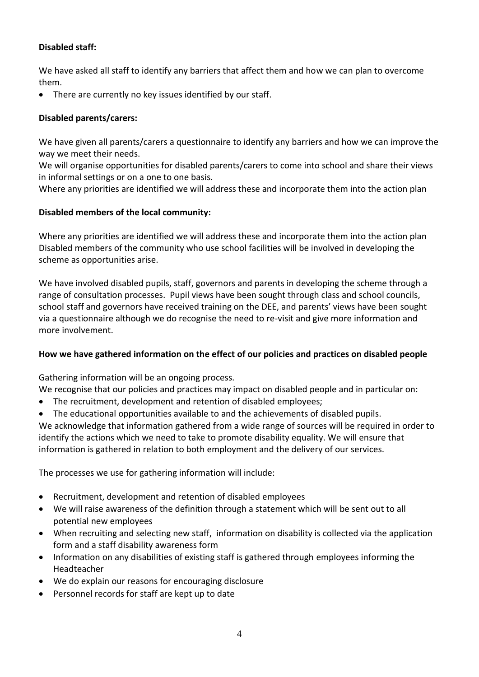## **Disabled staff:**

We have asked all staff to identify any barriers that affect them and how we can plan to overcome them.

• There are currently no key issues identified by our staff.

## **Disabled parents/carers:**

We have given all parents/carers a questionnaire to identify any barriers and how we can improve the way we meet their needs.

We will organise opportunities for disabled parents/carers to come into school and share their views in informal settings or on a one to one basis.

Where any priorities are identified we will address these and incorporate them into the action plan

## **Disabled members of the local community:**

Where any priorities are identified we will address these and incorporate them into the action plan Disabled members of the community who use school facilities will be involved in developing the scheme as opportunities arise.

We have involved disabled pupils, staff, governors and parents in developing the scheme through a range of consultation processes. Pupil views have been sought through class and school councils, school staff and governors have received training on the DEE, and parents' views have been sought via a questionnaire although we do recognise the need to re-visit and give more information and more involvement.

#### **How we have gathered information on the effect of our policies and practices on disabled people**

Gathering information will be an ongoing process.

We recognise that our policies and practices may impact on disabled people and in particular on:

- The recruitment, development and retention of disabled employees;
- The educational opportunities available to and the achievements of disabled pupils.

We acknowledge that information gathered from a wide range of sources will be required in order to identify the actions which we need to take to promote disability equality. We will ensure that information is gathered in relation to both employment and the delivery of our services.

The processes we use for gathering information will include:

- Recruitment, development and retention of disabled employees
- We will raise awareness of the definition through a statement which will be sent out to all potential new employees
- When recruiting and selecting new staff, information on disability is collected via the application form and a staff disability awareness form
- Information on any disabilities of existing staff is gathered through employees informing the Headteacher
- We do explain our reasons for encouraging disclosure
- Personnel records for staff are kept up to date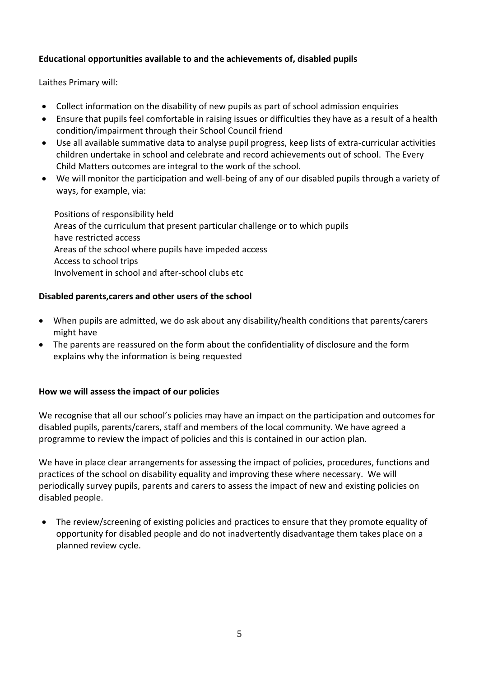## **Educational opportunities available to and the achievements of, disabled pupils**

Laithes Primary will:

- Collect information on the disability of new pupils as part of school admission enquiries
- Ensure that pupils feel comfortable in raising issues or difficulties they have as a result of a health condition/impairment through their School Council friend
- Use all available summative data to analyse pupil progress, keep lists of extra-curricular activities children undertake in school and celebrate and record achievements out of school. The Every Child Matters outcomes are integral to the work of the school.
- We will monitor the participation and well-being of any of our disabled pupils through a variety of ways, for example, via:

 Positions of responsibility held Areas of the curriculum that present particular challenge or to which pupils have restricted access Areas of the school where pupils have impeded access Access to school trips Involvement in school and after-school clubs etc

## **Disabled parents,carers and other users of the school**

- When pupils are admitted, we do ask about any disability/health conditions that parents/carers might have
- The parents are reassured on the form about the confidentiality of disclosure and the form explains why the information is being requested

#### **How we will assess the impact of our policies**

We recognise that all our school's policies may have an impact on the participation and outcomes for disabled pupils, parents/carers, staff and members of the local community. We have agreed a programme to review the impact of policies and this is contained in our action plan.

We have in place clear arrangements for assessing the impact of policies, procedures, functions and practices of the school on disability equality and improving these where necessary. We will periodically survey pupils, parents and carers to assess the impact of new and existing policies on disabled people.

• The review/screening of existing policies and practices to ensure that they promote equality of opportunity for disabled people and do not inadvertently disadvantage them takes place on a planned review cycle.